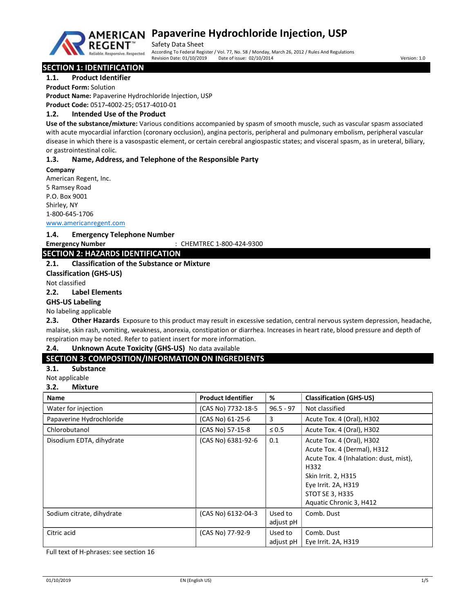

## **AMERICAN Papaverine Hydrochloride Injection, USP**

Safety Data Sheet According To Federal Register / Vol. 77, No. 58 / Monday, March 26, 2012 / Rules And Regulations Revision Date: 02/10/2014 Date: 02/10/2014 Date: 02/10/2014

## SECTION 1: IDENTIFICATION

1.1. Product Identifier

Product Form: Solution

Product Name: Papaverine Hydrochloride Injection, USP Product Code: 0517-4002-25; 0517-4010-01

## 1.2. Intended Use of the Product

Use of the substance/mixture: Various conditions accompanied by spasm of smooth muscle, such as vascular spasm associated with acute myocardial infarction (coronary occlusion), angina pectoris, peripheral and pulmonary embolism, peripheral vascular disease in which there is a vasospastic element, or certain cerebral angiospastic states; and visceral spasm, as in ureteral, biliary, or gastrointestinal colic.

### 1.3. Name, Address, and Telephone of the Responsible Party

Company American Regent, Inc. 5 Ramsey Road P.O. Box 9001 Shirley, NY 1-800-645-1706

www.americanregent.com

#### 1.4. Emergency Telephone Number

Emergency Number : CHEMTREC 1-800-424-9300

## SECTION 2: HAZARDS IDENTIFICATION

## 2.1. Classification of the Substance or Mixture

Classification (GHS-US)

Not classified

## 2.2. Label Elements

GHS-US Labeling

No labeling applicable

2.3. Other Hazards Exposure to this product may result in excessive sedation, central nervous system depression, headache, malaise, skin rash, vomiting, weakness, anorexia, constipation or diarrhea. Increases in heart rate, blood pressure and depth of respiration may be noted. Refer to patient insert for more information.

#### 2.4. Unknown Acute Toxicity (GHS-US) No data available

## SECTION 3: COMPOSITION/INFORMATION ON INGREDIENTS

3.1. Substance

Not applicable

#### 3.2. Mixture

| <b>Name</b>               | <b>Product Identifier</b> | %           | <b>Classification (GHS-US)</b>         |
|---------------------------|---------------------------|-------------|----------------------------------------|
| Water for injection       | (CAS No) 7732-18-5        | $96.5 - 97$ | Not classified                         |
| Papaverine Hydrochloride  | (CAS No) 61-25-6          | 3           | Acute Tox. 4 (Oral), H302              |
| Chlorobutanol             | (CAS No) 57-15-8          | $\leq 0.5$  | Acute Tox. 4 (Oral), H302              |
| Disodium EDTA, dihydrate  | (CAS No) 6381-92-6        | 0.1         | Acute Tox. 4 (Oral), H302              |
|                           |                           |             | Acute Tox. 4 (Dermal), H312            |
|                           |                           |             | Acute Tox. 4 (Inhalation: dust, mist), |
|                           |                           |             | H332                                   |
|                           |                           |             | Skin Irrit. 2, H315                    |
|                           |                           |             | Eye Irrit. 2A, H319                    |
|                           |                           |             | <b>STOT SE 3, H335</b>                 |
|                           |                           |             | Aquatic Chronic 3, H412                |
| Sodium citrate, dihydrate | (CAS No) 6132-04-3        | Used to     | Comb. Dust                             |
|                           |                           | adjust pH   |                                        |
| Citric acid               | (CAS No) 77-92-9          | Used to     | Comb. Dust                             |
|                           |                           | adjust pH   | Eye Irrit. 2A, H319                    |

Full text of H-phrases: see section 16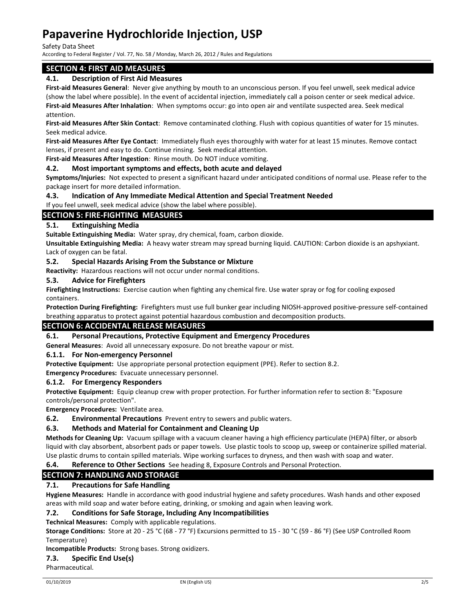### Safety Data Sheet

According to Federal Register / Vol. 77, No. 58 / Monday, March 26, 2012 / Rules and Regulations

## SECTION 4: FIRST AID MEASURES

### 4.1. Description of First Aid Measures

First-aid Measures General: Never give anything by mouth to an unconscious person. If you feel unwell, seek medical advice (show the label where possible). In the event of accidental injection, immediately call a poison center or seek medical advice. First-aid Measures After Inhalation: When symptoms occur: go into open air and ventilate suspected area. Seek medical attention.

First-aid Measures After Skin Contact: Remove contaminated clothing. Flush with copious quantities of water for 15 minutes. Seek medical advice.

First-aid Measures After Eye Contact: Immediately flush eyes thoroughly with water for at least 15 minutes. Remove contact lenses, if present and easy to do. Continue rinsing. Seek medical attention.

First-aid Measures After Ingestion: Rinse mouth. Do NOT induce vomiting.

#### 4.2. Most important symptoms and effects, both acute and delayed

Symptoms/Injuries: Not expected to present a significant hazard under anticipated conditions of normal use. Please refer to the package insert for more detailed information.

### 4.3. Indication of Any Immediate Medical Attention and Special Treatment Needed

If you feel unwell, seek medical advice (show the label where possible).

## SECTION 5: FIRE-FIGHTING MEASURES

## 5.1. Extinguishing Media

Suitable Extinguishing Media: Water spray, dry chemical, foam, carbon dioxide.

Unsuitable Extinguishing Media: A heavy water stream may spread burning liquid. CAUTION: Carbon dioxide is an apshyxiant. Lack of oxygen can be fatal.

#### 5.2. Special Hazards Arising From the Substance or Mixture

Reactivity: Hazardous reactions will not occur under normal conditions.

#### 5.3. Advice for Firefighters

Firefighting Instructions: Exercise caution when fighting any chemical fire. Use water spray or fog for cooling exposed containers.

Protection During Firefighting: Firefighters must use full bunker gear including NIOSH-approved positive-pressure self-contained breathing apparatus to protect against potential hazardous combustion and decomposition products.

#### SECTION 6: ACCIDENTAL RELEASE MEASURES

#### 6.1. Personal Precautions, Protective Equipment and Emergency Procedures

General Measures: Avoid all unnecessary exposure. Do not breathe vapour or mist.

#### 6.1.1. For Non-emergency Personnel

Protective Equipment: Use appropriate personal protection equipment (PPE). Refer to section 8.2.

Emergency Procedures: Evacuate unnecessary personnel.

#### 6.1.2. For Emergency Responders

Protective Equipment: Equip cleanup crew with proper protection. For further information refer to section 8: "Exposure controls/personal protection".

Emergency Procedures: Ventilate area.

**6.2. Environmental Precautions** Prevent entry to sewers and public waters.

#### 6.3. Methods and Material for Containment and Cleaning Up

Methods for Cleaning Up: Vacuum spillage with a vacuum cleaner having a high efficiency particulate (HEPA) filter, or absorb liquid with clay absorbent, absorbent pads or paper towels. Use plastic tools to scoop up, sweep or containerize spilled material. Use plastic drums to contain spilled materials. Wipe working surfaces to dryness, and then wash with soap and water.

#### 6.4. Reference to Other Sections See heading 8, Exposure Controls and Personal Protection.

## SECTION 7: HANDLING AND STORAGE

## 7.1. Precautions for Safe Handling

Hygiene Measures: Handle in accordance with good industrial hygiene and safety procedures. Wash hands and other exposed areas with mild soap and water before eating, drinking, or smoking and again when leaving work.

#### 7.2. Conditions for Safe Storage, Including Any Incompatibilities

Technical Measures: Comply with applicable regulations.

Storage Conditions: Store at 20 - 25 °C (68 - 77 °F) Excursions permitted to 15 - 30 °C (59 - 86 °F) (See USP Controlled Room Temperature)

#### Incompatible Products: Strong bases. Strong oxidizers.

#### 7.3. Specific End Use(s)

Pharmaceutical.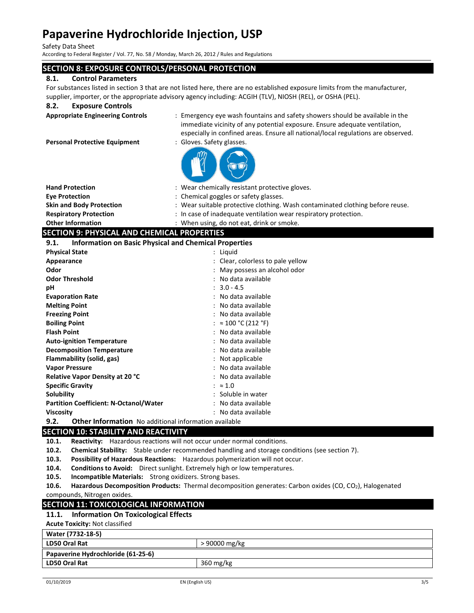Safety Data Sheet

According to Federal Register / Vol. 77, No. 58 / Monday, March 26, 2012 / Rules and Regulations

## SECTION 8: EXPOSURE CONTROLS/PERSONAL PROTECTION

## 8.1. Control Parameters

For substances listed in section 3 that are not listed here, there are no established exposure limits from the manufacturer, supplier, importer, or the appropriate advisory agency including: ACGIH (TLV), NIOSH (REL), or OSHA (PEL).

### 8.2. Exposure Controls

Appropriate Engineering Controls : Emergency eye wash fountains and safety showers should be available in the immediate vicinity of any potential exposure. Ensure adequate ventilation, especially in confined areas. Ensure all national/local regulations are observed.

Personal Protective Equipment : Gloves. Safety glasses.

| <b>Hand Protection</b>                       | : Wear chemically resistant protective gloves.                                |
|----------------------------------------------|-------------------------------------------------------------------------------|
| <b>Eve Protection</b>                        | : Chemical goggles or safety glasses.                                         |
| <b>Skin and Body Protection</b>              | : Wear suitable protective clothing. Wash contaminated clothing before reuse. |
| <b>Respiratory Protection</b>                | : In case of inadequate ventilation wear respiratory protection.              |
| <b>Other Information</b>                     | : When using, do not eat, drink or smoke.                                     |
| SECTION Q· DHVSICAL AND CHEMICAL DRODERTIES. |                                                                               |

#### SECTION 9: PHYSICAL AND CHEMICAL PROPERTIES 9.1. Information on Basic Physical and Chemical Properties

| フ・エ・<br><u>miormation on basic Physical and Chemical Properties</u>  |                                   |
|----------------------------------------------------------------------|-----------------------------------|
| <b>Physical State</b>                                                | : Liquid                          |
| Appearance                                                           | : Clear, colorless to pale yellow |
| Odor                                                                 | : May possess an alcohol odor     |
| <b>Odor Threshold</b>                                                | : No data available               |
| рH                                                                   | $: 3.0 - 4.5$                     |
| <b>Evaporation Rate</b>                                              | : No data available               |
| <b>Melting Point</b>                                                 | : No data available               |
| <b>Freezing Point</b>                                                | : No data available               |
| <b>Boiling Point</b>                                                 | : $\approx 100$ °C (212 °F)       |
| <b>Flash Point</b>                                                   | : No data available               |
| <b>Auto-ignition Temperature</b>                                     | : No data available               |
| <b>Decomposition Temperature</b>                                     | : No data available               |
| Flammability (solid, gas)                                            | : Not applicable                  |
| <b>Vapor Pressure</b>                                                | : No data available               |
| Relative Vapor Density at 20 °C                                      | : No data available               |
| <b>Specific Gravity</b>                                              | : $\approx 1.0$                   |
| Solubility                                                           | : Soluble in water                |
| <b>Partition Coefficient: N-Octanol/Water</b>                        | : No data available               |
| <b>Viscosity</b>                                                     | : No data available               |
| 9.2.<br><b>Other Information</b> No additional information available |                                   |

## SECTION 10: STABILITY AND REACTIVITY

10.1. Reactivity: Hazardous reactions will not occur under normal conditions.

10.2. Chemical Stability: Stable under recommended handling and storage conditions (see section 7).

10.3. Possibility of Hazardous Reactions: Hazardous polymerization will not occur.

10.4. Conditions to Avoid: Direct sunlight. Extremely high or low temperatures.

10.5. Incompatible Materials: Strong oxidizers. Strong bases.

10.6. Hazardous Decomposition Products: Thermal decomposition generates: Carbon oxides (CO, CO<sub>2</sub>), Halogenated compounds, Nitrogen oxides.

## SECTION 11: TOXICOLOGICAL INFORMATION

## 11.1. Information On Toxicological Effects

Acute Toxicity: Not classified

| Water (7732-18-5)                  |                        |  |
|------------------------------------|------------------------|--|
| <b>LD50 Oral Rat</b>               | > 90000 mg/kg          |  |
| Papaverine Hydrochloride (61-25-6) |                        |  |
| LD50 Oral Rat                      | $360 \,\mathrm{mg/kg}$ |  |
|                                    |                        |  |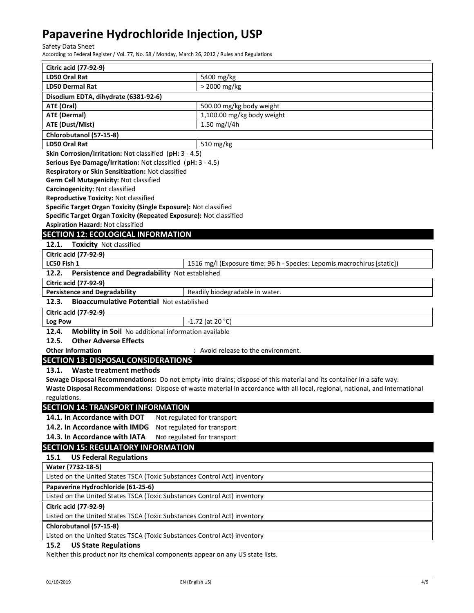Safety Data Sheet

According to Federal Register / Vol. 77, No. 58 / Monday, March 26, 2012 / Rules and Regulations

| <b>Citric acid (77-92-9)</b>                                                   |                                                                                                                               |  |
|--------------------------------------------------------------------------------|-------------------------------------------------------------------------------------------------------------------------------|--|
| LD50 Oral Rat                                                                  | 5400 mg/kg                                                                                                                    |  |
| <b>LD50 Dermal Rat</b>                                                         | > 2000 mg/kg                                                                                                                  |  |
| Disodium EDTA, dihydrate (6381-92-6)                                           |                                                                                                                               |  |
| ATE (Oral)                                                                     | 500.00 mg/kg body weight                                                                                                      |  |
| <b>ATE (Dermal)</b>                                                            | 1,100.00 mg/kg body weight                                                                                                    |  |
| <b>ATE (Dust/Mist)</b>                                                         | 1.50 mg/l/4h                                                                                                                  |  |
| Chlorobutanol (57-15-8)                                                        |                                                                                                                               |  |
| <b>LD50 Oral Rat</b>                                                           | 510 mg/kg                                                                                                                     |  |
| Skin Corrosion/Irritation: Not classified (pH: 3 - 4.5)                        |                                                                                                                               |  |
| Serious Eye Damage/Irritation: Not classified (pH: 3 - 4.5)                    |                                                                                                                               |  |
| Respiratory or Skin Sensitization: Not classified                              |                                                                                                                               |  |
| Germ Cell Mutagenicity: Not classified                                         |                                                                                                                               |  |
| Carcinogenicity: Not classified                                                |                                                                                                                               |  |
| <b>Reproductive Toxicity: Not classified</b>                                   |                                                                                                                               |  |
| Specific Target Organ Toxicity (Single Exposure): Not classified               |                                                                                                                               |  |
| Specific Target Organ Toxicity (Repeated Exposure): Not classified             |                                                                                                                               |  |
| <b>Aspiration Hazard: Not classified</b>                                       |                                                                                                                               |  |
| <b>SECTION 12: ECOLOGICAL INFORMATION</b>                                      |                                                                                                                               |  |
| <b>Toxicity Not classified</b><br>12.1.                                        |                                                                                                                               |  |
| <b>Citric acid (77-92-9)</b>                                                   |                                                                                                                               |  |
| LC50 Fish 1                                                                    | 1516 mg/l (Exposure time: 96 h - Species: Lepomis macrochirus [static])                                                       |  |
| 12.2.<br>Persistence and Degradability Not established                         |                                                                                                                               |  |
| <b>Citric acid (77-92-9)</b>                                                   |                                                                                                                               |  |
| <b>Persistence and Degradability</b>                                           | Readily biodegradable in water.                                                                                               |  |
| 12.3.<br><b>Bioaccumulative Potential Not established</b>                      |                                                                                                                               |  |
| <b>Citric acid (77-92-9)</b>                                                   |                                                                                                                               |  |
| Log Pow                                                                        | $-1.72$ (at 20 °C)                                                                                                            |  |
| 12.4.<br>Mobility in Soil No additional information available                  |                                                                                                                               |  |
| <b>Other Adverse Effects</b><br>12.5.                                          |                                                                                                                               |  |
| <b>Other Information</b>                                                       | : Avoid release to the environment.                                                                                           |  |
| <b>SECTION 13: DISPOSAL CONSIDERATIONS</b>                                     |                                                                                                                               |  |
| 13.1.<br><b>Waste treatment methods</b>                                        |                                                                                                                               |  |
|                                                                                | Sewage Disposal Recommendations: Do not empty into drains; dispose of this material and its container in a safe way.          |  |
|                                                                                | Waste Disposal Recommendations: Dispose of waste material in accordance with all local, regional, national, and international |  |
| regulations.                                                                   |                                                                                                                               |  |
| <b>SECTION 14: TRANSPORT INFORMATION</b>                                       |                                                                                                                               |  |
| 14.1. In Accordance with DOT<br>Not regulated for transport                    |                                                                                                                               |  |
| 14.2. In Accordance with IMDG<br>Not regulated for transport                   |                                                                                                                               |  |
| 14.3. In Accordance with IATA                                                  |                                                                                                                               |  |
|                                                                                | Not regulated for transport                                                                                                   |  |
| <b>SECTION 15: REGULATORY INFORMATION</b>                                      |                                                                                                                               |  |
| <b>US Federal Regulations</b><br>15.1                                          |                                                                                                                               |  |
| Water (7732-18-5)                                                              |                                                                                                                               |  |
| Listed on the United States TSCA (Toxic Substances Control Act) inventory      |                                                                                                                               |  |
| Papaverine Hydrochloride (61-25-6)                                             |                                                                                                                               |  |
| Listed on the United States TSCA (Toxic Substances Control Act) inventory      |                                                                                                                               |  |
| Citric acid (77-92-9)                                                          |                                                                                                                               |  |
| Listed on the United States TSCA (Toxic Substances Control Act) inventory      |                                                                                                                               |  |
| Chlorobutanol (57-15-8)                                                        |                                                                                                                               |  |
| Listed on the United States TSCA (Toxic Substances Control Act) inventory      |                                                                                                                               |  |
| <b>US State Regulations</b><br>15.2                                            |                                                                                                                               |  |
| Neither this product nor its chemical components appear on any US state lists. |                                                                                                                               |  |